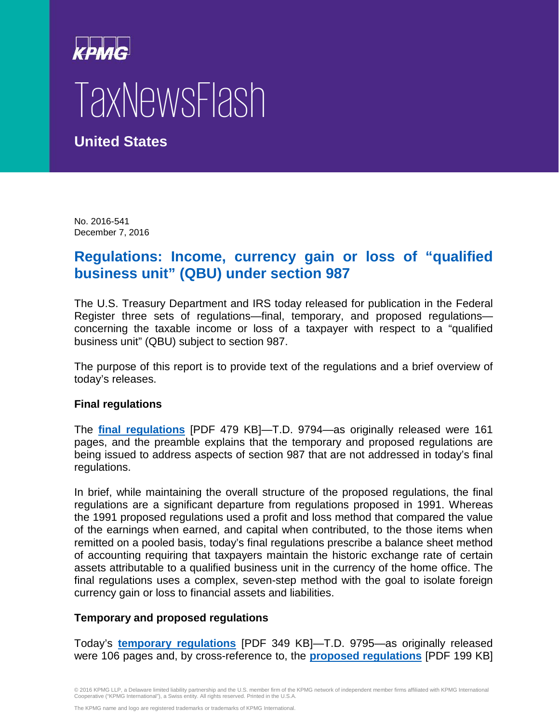## TaxNewsFlash

**United States**

No. 2016-541 December 7, 2016

## **Regulations: Income, currency gain or loss of "qualified business unit" (QBU) under section 987**

The U.S. Treasury Department and IRS today released for publication in the Federal Register three sets of regulations—final, temporary, and proposed regulations concerning the taxable income or loss of a taxpayer with respect to a "qualified business unit" (QBU) subject to section 987.

The purpose of this report is to provide text of the regulations and a brief overview of today's releases.

## **Final regulations**

The **[final regulations](https://www.gpo.gov/fdsys/pkg/FR-2016-12-08/pdf/2016-28381.pdf)** [PDF 479 KB]—T.D. 9794—as originally released were 161 pages, and the preamble explains that the temporary and proposed regulations are being issued to address aspects of section 987 that are not addressed in today's final regulations.

In brief, while maintaining the overall structure of the proposed regulations, the final regulations are a significant departure from regulations proposed in 1991. Whereas the 1991 proposed regulations used a profit and loss method that compared the value of the earnings when earned, and capital when contributed, to the those items when remitted on a pooled basis, today's final regulations prescribe a balance sheet method of accounting requiring that taxpayers maintain the historic exchange rate of certain assets attributable to a qualified business unit in the currency of the home office. The final regulations uses a complex, seven-step method with the goal to isolate foreign currency gain or loss to financial assets and liabilities.

## **Temporary and proposed regulations**

Today's **[temporary regulations](https://www.gpo.gov/fdsys/pkg/FR-2016-12-08/pdf/2016-28380.pdf)** [PDF 349 KB]—T.D. 9795—as originally released were 106 pages and, by cross-reference to, the **[proposed regulations](https://www.gpo.gov/fdsys/pkg/FR-2016-12-08/pdf/2016-28377.pdf)** [PDF 199 KB]